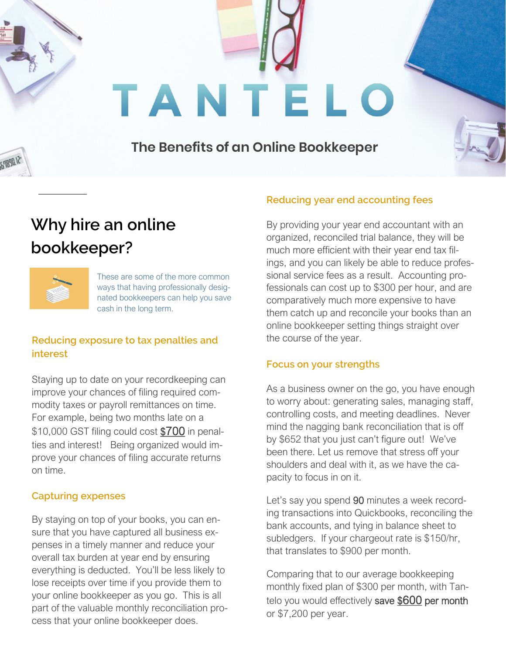# TANTELO

### **The Benefits of an Online Bookkeeper**

## **Why hire an online bookkeeper?**



These are some of the more common ways that having professionally designated bookkeepers can help you save cash in the long term.

#### **Reducing exposure to tax penalties and interest**

Staying up to date on your recordkeeping can improve your chances of filing required commodity taxes or payroll remittances on time. For example, being two months late on a \$10,000 GST filing could cost \$700 in penalties and interest! Being organized would improve your chances of filing accurate returns on time.

#### **Capturing expenses**

By staying on top of your books, you can ensure that you have captured all business expenses in a timely manner and reduce your overall tax burden at year end by ensuring everything is deducted. You'll be less likely to lose receipts over time if you provide them to your online bookkeeper as you go. This is all part of the valuable monthly reconciliation process that your online bookkeeper does.

#### **Reducing year end accounting fees**

By providing your year end accountant with an organized, reconciled trial balance, they will be much more efficient with their year end tax filings, and you can likely be able to reduce professional service fees as a result. Accounting professionals can cost up to \$300 per hour, and are comparatively much more expensive to have them catch up and reconcile your books than an online bookkeeper setting things straight over the course of the year.

#### **Focus on your strengths**

As a business owner on the go, you have enough to worry about: generating sales, managing staff, controlling costs, and meeting deadlines. Never mind the nagging bank reconciliation that is off by \$652 that you just can't figure out! We've been there. Let us remove that stress off your shoulders and deal with it, as we have the capacity to focus in on it.

Let's say you spend 90 minutes a week recording transactions into Quickbooks, reconciling the bank accounts, and tying in balance sheet to subledgers. If your chargeout rate is \$150/hr, that translates to \$900 per month.

Comparing that to our average bookkeeping monthly fixed plan of \$300 per month, with Tantelo you would effectively save \$600 per month or \$7,200 per year.